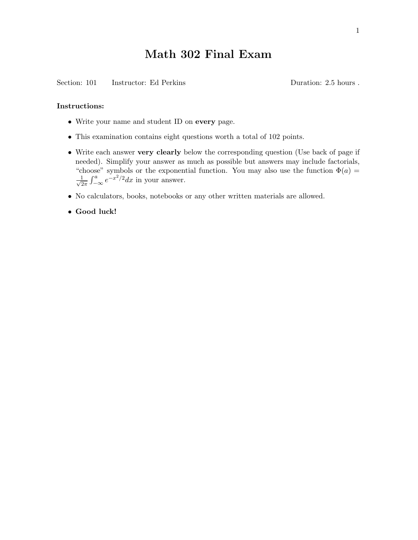## Math 302 Final Exam

Section: 101 Instructor: Ed Perkins Duration: 2.5 hours .

## Instructions:

- Write your name and student ID on every page.
- This examination contains eight questions worth a total of 102 points.
- Write each answer very clearly below the corresponding question (Use back of page if needed). Simplify your answer as much as possible but answers may include factorials, "choose" symbols or the exponential function. You may also use the function  $\Phi(a)$  =  $\frac{1}{\sqrt{2}}$  $\frac{1}{2\pi} \int_{-\infty}^{a} e^{-x^2/2} dx$  in your answer.
- No calculators, books, notebooks or any other written materials are allowed.
- Good luck!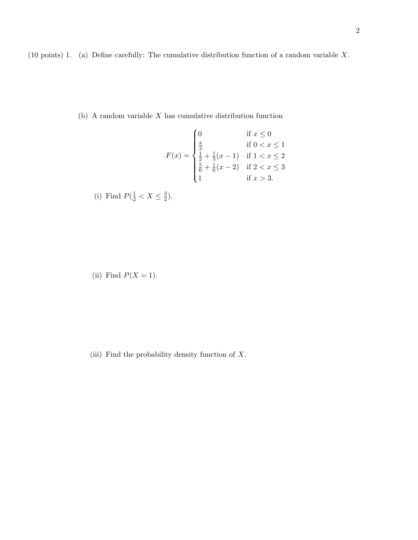(b) A random variable  $X$  has cumulative distribution function

$$
F(x) = \begin{cases} 0 & \text{if } x \le 0 \\ \frac{x}{2} & \text{if } 0 < x \le 1 \\ \frac{1}{2} + \frac{1}{3}(x - 1) & \text{if } 1 < x \le 2 \\ \frac{5}{6} + \frac{1}{6}(x - 2) & \text{if } 2 < x \le 3 \\ 1 & \text{if } x > 3. \end{cases}
$$

(i) Find 
$$
P(\frac{1}{2} < X \leq \frac{3}{2})
$$
.

(ii) Find  $P(X = 1)$ .

(iii) Find the probability density function of X.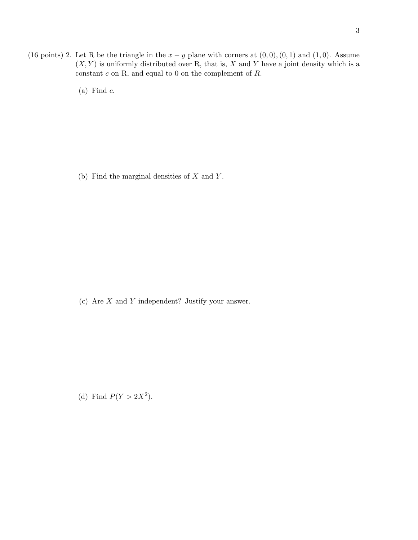- (16 points) 2. Let R be the triangle in the  $x y$  plane with corners at  $(0,0), (0,1)$  and  $(1,0)$ . Assume  $(X, Y)$  is uniformly distributed over R, that is, X and Y have a joint density which is a constant  $c$  on R, and equal to  $0$  on the complement of  $R.$ 
	- (a) Find  $c$ .

(b) Find the marginal densities of  $X$  and  $Y$ .

(c) Are X and Y independent? Justify your answer.

(d) Find  $P(Y > 2X^2)$ .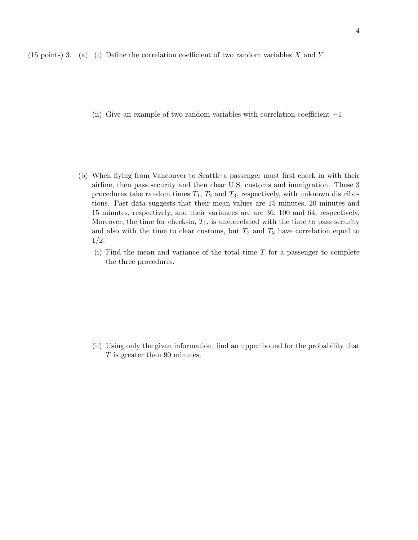(15 points) 3. (a) (i) Define the correlation coefficient of two random variables  $X$  and  $Y$ .

- (ii) Give an example of two random variables with correlation coefficient  $-1$ .
- (b) When flying from Vancouver to Seattle a passenger must first check in with their airline, then pass security and then clear U.S. customs and immigration. These 3 procedures take random times  $T_1$ ,  $T_2$  and  $T_3$ , respectively, with unknown distributions. Past data suggests that their mean values are 15 minutes, 20 minutes and 15 minutes, respectively, and their variances are are 36, 100 and 64, respectively. Moreover, the time for check-in,  $T_1$ , is uncorrelated with the time to pass security and also with the time to clear customs, but  $T_2$  and  $T_3$  have correlation equal to 1/2.
	- (i) Find the mean and variance of the total time  $T$  for a passenger to complete the three procedures.

(ii) Using only the given information, find an upper bound for the probability that T is greater than 90 minutes.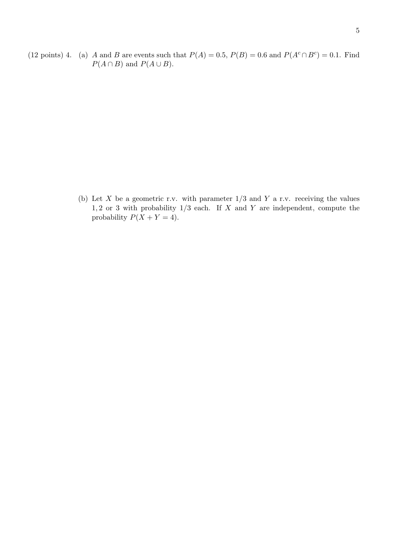(12 points) 4. (a) A and B are events such that  $P(A) = 0.5$ ,  $P(B) = 0.6$  and  $P(A<sup>c</sup> \cap B<sup>c</sup>) = 0.1$ . Find  $P(A \cap B)$  and  $P(A \cup B)$ .

> (b) Let X be a geometric r.v. with parameter  $1/3$  and Y a r.v. receiving the values  $1, 2$  or 3 with probability  $1/3$  each. If X and Y are independent, compute the probability  $P(X + Y = 4)$ .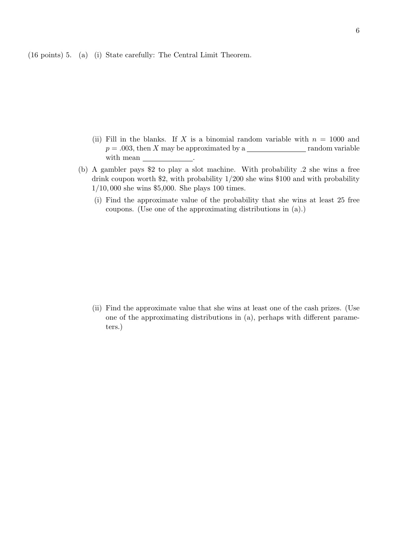(16 points) 5. (a) (i) State carefully: The Central Limit Theorem.

- (ii) Fill in the blanks. If X is a binomial random variable with  $n = 1000$  and  $p = .003$ , then X may be approximated by a <u>random</u> variable with mean \_\_\_\_\_\_\_\_\_\_\_\_\_\_.
- (b) A gambler pays \$2 to play a slot machine. With probability .2 she wins a free drink coupon worth \$2, with probability 1/200 she wins \$100 and with probability 1/10, 000 she wins \$5,000. She plays 100 times.
	- (i) Find the approximate value of the probability that she wins at least 25 free coupons. (Use one of the approximating distributions in (a).)

(ii) Find the approximate value that she wins at least one of the cash prizes. (Use one of the approximating distributions in (a), perhaps with different parameters.)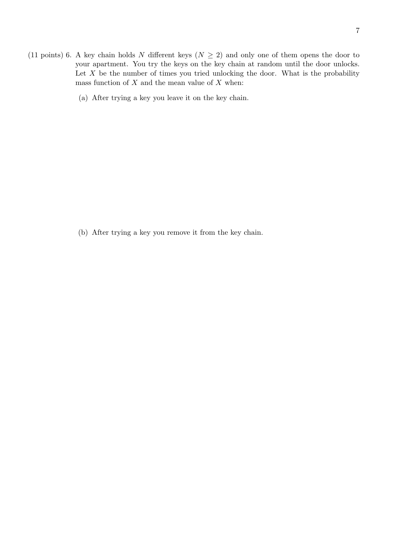- (11 points) 6. A key chain holds N different keys ( $N \geq 2$ ) and only one of them opens the door to your apartment. You try the keys on the key chain at random until the door unlocks. Let  $X$  be the number of times you tried unlocking the door. What is the probability mass function of  $X$  and the mean value of  $X$  when:
	- (a) After trying a key you leave it on the key chain.

(b) After trying a key you remove it from the key chain.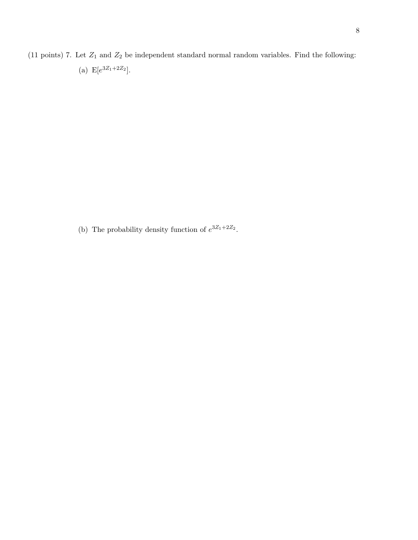(11 points) 7. Let  $Z_1$  and  $Z_2$  be independent standard normal random variables. Find the following: (a)  $E[e^{3Z_1+2Z_2}].$ 

(b) The probability density function of  $e^{3Z_1+2Z_2}$ .